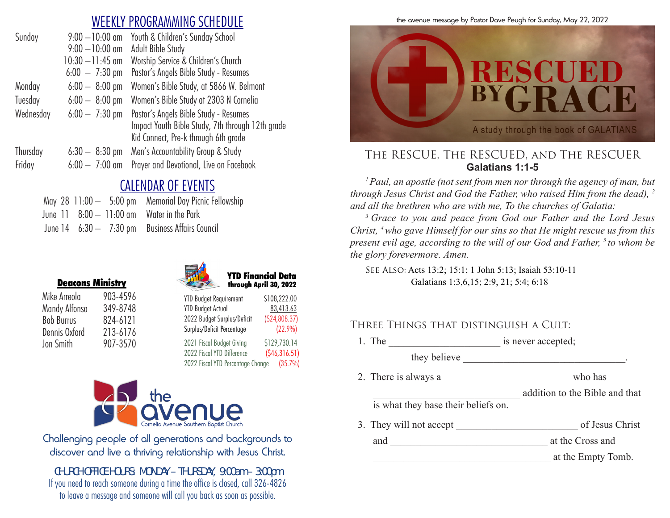## WEEKLY PROGRAMMING SCHEDULE

| Sunday    | $9:00 - 10:00$ am        | Youth & Children's Sunday School                                                                                                  |
|-----------|--------------------------|-----------------------------------------------------------------------------------------------------------------------------------|
|           | $9:00 - 10:00$ am        | Adult Bible Study                                                                                                                 |
|           | $10:30 - 11:45$ am       | Worship Service & Children's Church                                                                                               |
|           | $6:00 - 7:30 \text{ pm}$ | Pastor's Angels Bible Study - Resumes                                                                                             |
| Monday    | $6:00 - 8:00$ pm         | Women's Bible Study, at 5866 W. Belmont                                                                                           |
| Tuesday   | $6:00 - 8:00$ pm         | Women's Bible Study at 2303 N Cornelia                                                                                            |
| Wednesday | $6:00 - 7:30$ pm         | Pastor's Angels Bible Study - Resumes<br>Impact Youth Bible Study, 7th through 12th grade<br>Kid Connect, Pre-k through 6th grade |
| Thursday  | $6:30 - 8:30$ pm         | Men's Accountability Group & Study                                                                                                |
| Friday    | $6:00 - 7:00$ am         | Prayer and Devotional, Live on Facebook                                                                                           |
|           |                          |                                                                                                                                   |

# CALENDAR OF EVENTS

|  |  | May 28 11:00 - 5:00 pm Memorial Day Picnic Fellowship |
|--|--|-------------------------------------------------------|
|  |  | June 11 8:00 - 11:00 am Water in the Park             |
|  |  | June 14 6:30 - 7:30 pm Business Affairs Council       |

|                   | <b>Deacons Ministry</b> |
|-------------------|-------------------------|
| Mike Arreola      | 903-4596                |
| Mandy Alfonso     | 349-8748                |
| <b>Bob Burrus</b> | 824-6121                |
| Dennis Oxford     | 213-6176                |
| Jon Smith         | 907-3570                |





| <b>YTD Budget Requirement</b> | \$108,222.00  |
|-------------------------------|---------------|
| <b>YTD Budget Actual</b>      | 83,413.63     |
| 2022 Budget Surplus/Deficit   | (S24, 808.37) |
| Surplus/Deficit Percentage    | (22.9%)       |
| 2021 Fiscal Budget Giving     | \$129,730.14  |

2022 Fiscal YTD Difference (\$46,316.51) 2022 Fiscal YTD Percentage Change (35.7%)



Challenging people of all generations and backgrounds to discover and live a thriving relationship with Jesus Christ.

*CHURCH OFFICE HOURS: MONDAY – THURSDAY, 9:00am – 3:00pm* If you need to reach someone during a time the office is closed, call 326-4826 to leave a message and someone will call you back as soon as possible.





### The RESCUE, The RESCUED, and The RESCUER **Galatians 1:1-5**

*1 Paul, an apostle (not sent from men nor through the agency of man, but through Jesus Christ and God the Father, who raised Him from the dead), 2 and all the brethren who are with me, To the churches of Galatia:* 

*3 Grace to you and peace from God our Father and the Lord Jesus Christ, 4 who gave Himself for our sins so that He might rescue us from this present evil age, according to the will of our God and Father, <sup>5</sup> to whom be the glory forevermore. Amen.* 

See Also: Acts 13:2; 15:1; 1 John 5:13; Isaiah 53:10-11 Galatians 1:3,6,15; 2:9, 21; 5:4; 6:18

### Three Things that distinguish a Cult:

1. The \_\_\_\_\_\_\_\_\_\_\_\_\_\_\_\_\_\_\_\_\_\_ is never accepted;

they believe the state of the state of the state of the state of the state of the state of the state of the state of the state of the state of the state of the state of the state of the state of the state of the state of t

2. There is always a who has

\_\_\_\_\_\_\_\_\_\_\_\_\_\_\_\_\_\_\_\_\_\_\_\_\_\_\_\_\_ addition to the Bible and that

is what they base their beliefs on.

3. They will not accept of Jesus Christ

and \_\_\_\_\_\_\_\_\_\_\_\_\_\_\_\_\_\_\_\_\_\_\_\_\_\_\_\_\_\_\_ at the Cross and

\_\_\_\_\_\_\_\_\_\_\_\_\_\_\_\_\_\_\_\_\_\_\_\_\_\_\_\_\_\_\_\_\_\_\_ at the Empty Tomb.